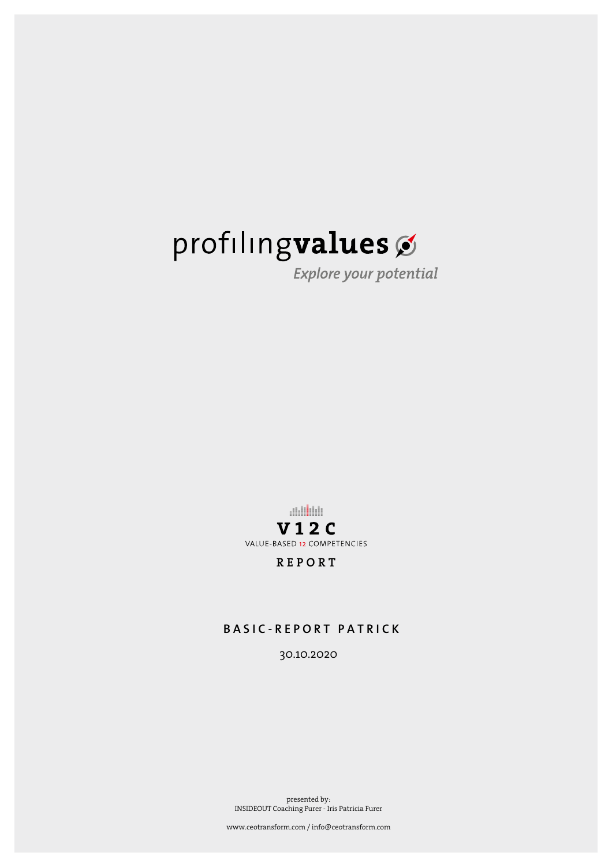Explore your potential

**Addition V12C** VALUE-BASED 12 COMPETENCIES

**REPORT** 

### **BASIC-REPORT PATRICK**

30.10.2020

presented by: INSIDEOUT Coaching Furer - Iris Patricia Furer

www.ceotransform.com / info@ceotransform.com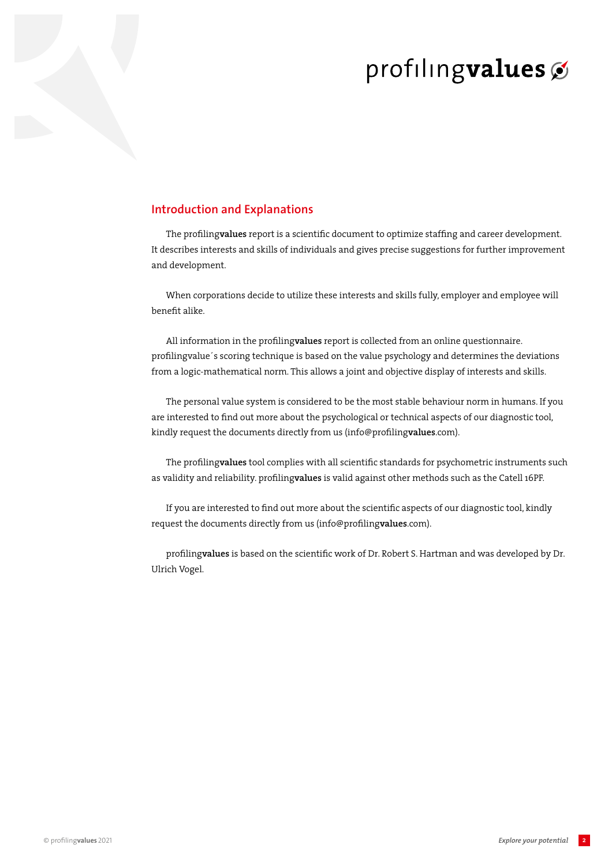### **Introduction and Explanations**

The profiling**values** report is a scientific document to optimize staffing and career development. It describes interests and skills of individuals and gives precise suggestions for further improvement and development.

When corporations decide to utilize these interests and skills fully, employer and employee will benefit alike.

All information in the profiling**values** report is collected from an online questionnaire. profilingvalue´s scoring technique is based on the value psychology and determines the deviations from a logic-mathematical norm. This allows a joint and objective display of interests and skills.

The personal value system is considered to be the most stable behaviour norm in humans. If you are interested to find out more about the psychological or technical aspects of our diagnostic tool, kindly request the documents directly from us (info@profiling**values**.com).

The profiling**values** tool complies with all scientific standards for psychometric instruments such as validity and reliability. profiling**values** is valid against other methods such as the Catell 16PF.

If you are interested to find out more about the scientific aspects of our diagnostic tool, kindly request the documents directly from us (info@profiling**values**.com).

profiling**values** is based on the scientific work of Dr. Robert S. Hartman and was developed by Dr. Ulrich Vogel.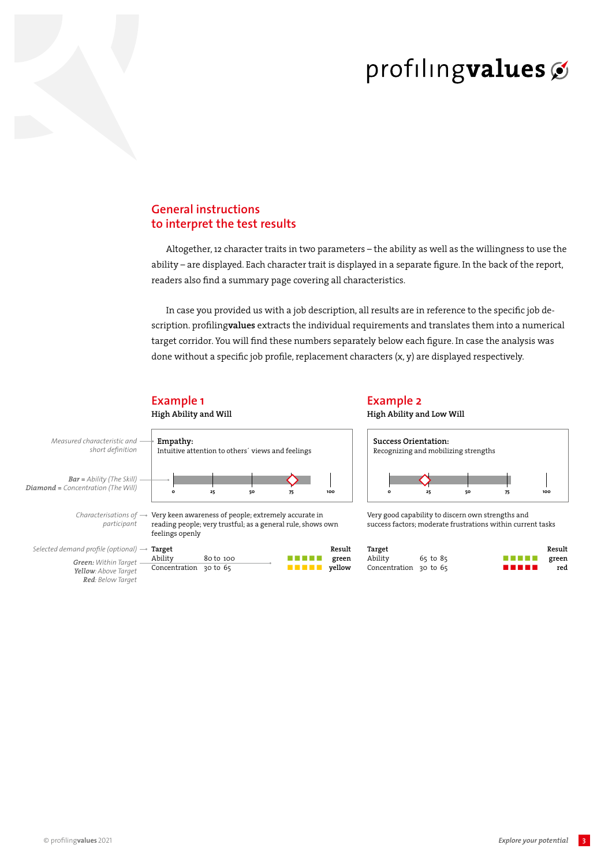## **General instructions to interpret the test results**

Altogether, 12 character traits in two parameters – the ability as well as the willingness to use the ability – are displayed. Each character trait is displayed in a separate figure. In the back of the report, readers also find a summary page covering all characteristics.

In case you provided us with a job description, all results are in reference to the specific job description. profiling**values** extracts the individual requirements and translates them into a numerical target corridor. You will find these numbers separately below each figure. In case the analysis was done without a specific job profile, replacement characters  $(x, y)$  are displayed respectively.



**Example 1**

## **Example 2**

**High Ability and Low Will**



Very good capability to discern own strengths and success factors; moderate frustrations within current tasks

| Result |                                                                                                                        |              | Target                 |  |
|--------|------------------------------------------------------------------------------------------------------------------------|--------------|------------------------|--|
| green  | <u> Tanzania de la provincia de la provincia de la provincia de la provincia de la provincia de la provincia de la</u> | $65$ to $85$ | Ability                |  |
| red    | .                                                                                                                      |              | Concentration 30 to 65 |  |

3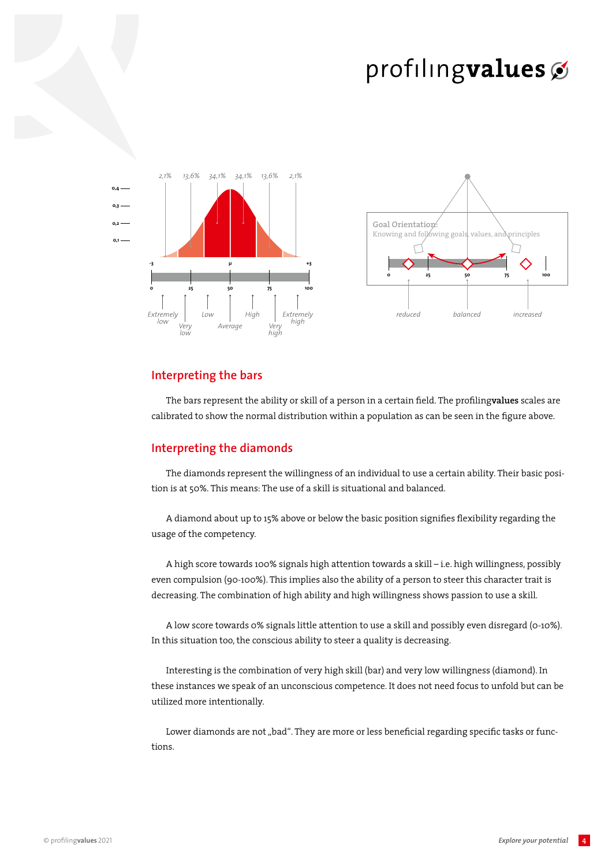



#### **Interpreting the bars**

The bars represent the ability or skill of a person in a certain field. The profiling**values** scales are calibrated to show the normal distribution within a population as can be seen in the figure above.

#### **Interpreting the diamonds**

The diamonds represent the willingness of an individual to use a certain ability. Their basic position is at 50%. This means: The use of a skill is situational and balanced.

A diamond about up to 15% above or below the basic position signifies flexibility regarding the usage of the competency.

A high score towards 100% signals high attention towards a skill – i.e. high willingness, possibly even compulsion (90-100%). This implies also the ability of a person to steer this character trait is decreasing. The combination of high ability and high willingness shows passion to use a skill.

A low score towards 0% signals little attention to use a skill and possibly even disregard (0-10%). In this situation too, the conscious ability to steer a quality is decreasing.

Interesting is the combination of very high skill (bar) and very low willingness (diamond). In these instances we speak of an unconscious competence. It does not need focus to unfold but can be utilized more intentionally.

Lower diamonds are not "bad". They are more or less beneficial regarding specific tasks or functions.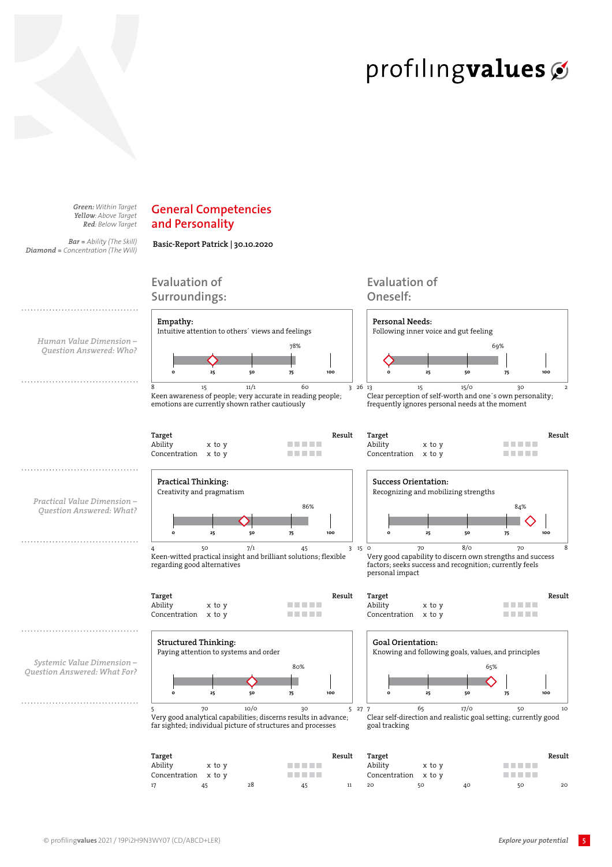*Green: Within Target Yellow: Above Target Red: Below Target*

*Bar = Ability (The Skill) Diamond = Concentration (The Will)*

## **General Competencies and Personality**

**Basic-Report Patrick | 30.10.2020** 



17 45 28 45 11 20 50 40 50 20

5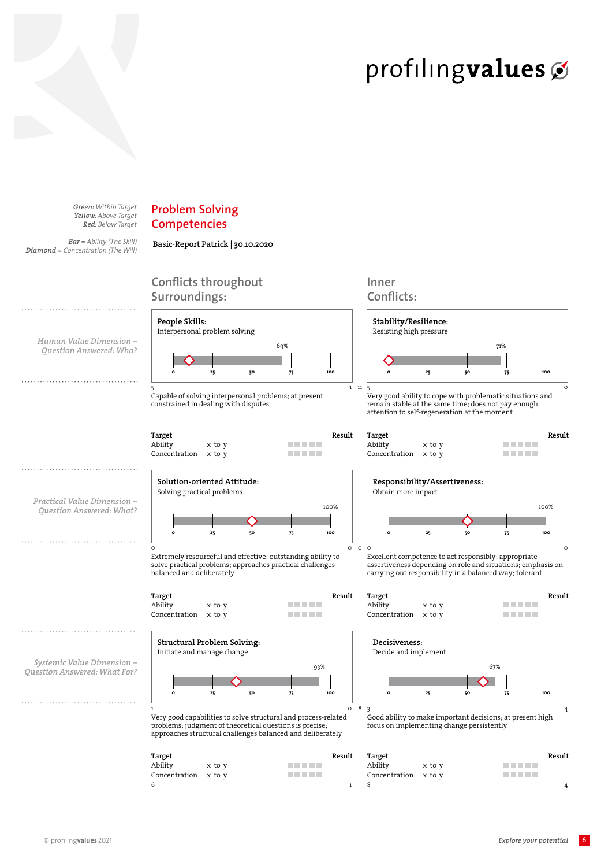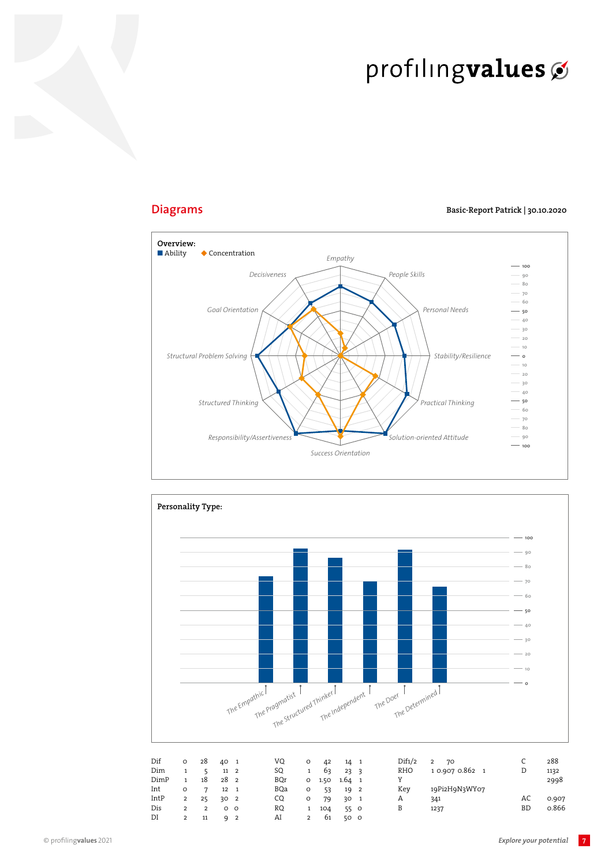

### **Diagrams**



#### Basic-Report Patrick | 30.10.2020

 $\overline{7}$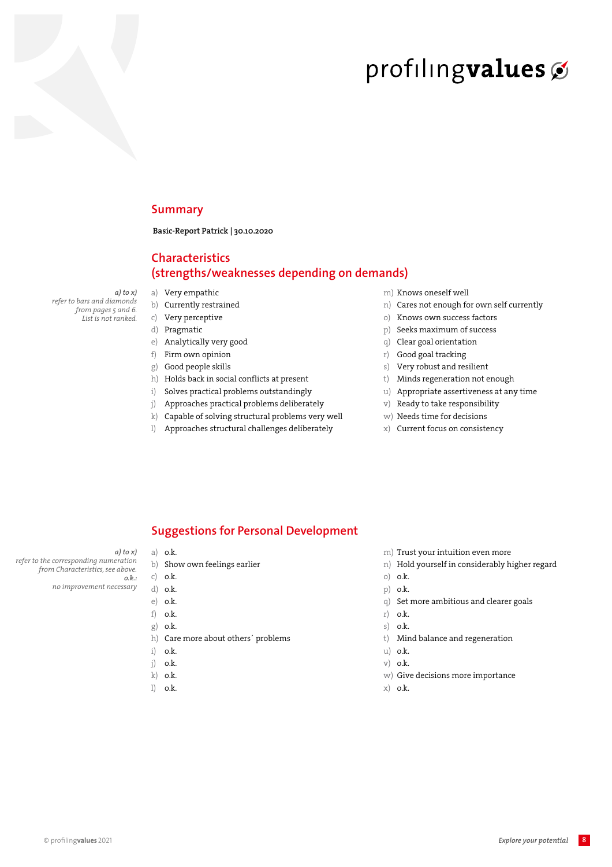### **Summary**

Basic-Report Patrick | 30.10.2020

## **Characteristics** (strengths/weaknesses depending on demands)

 $a)$  to  $x)$ refer to bars and diamonds from pages 5 and 6. List is not ranked.

- a) Very empathic
- b) Currently restrained
- c) Very perceptive
- d) Pragmatic
- e) Analytically very good
- $f)$ Firm own opinion Good people skills  $g)$
- h) Holds back in social conflicts at present
- Solves practical problems outstandingly  $i)$
- Approaches practical problems deliberately  $\mathbf{i}$
- $\mathbf{k}$ Capable of solving structural problems very well
- Approaches structural challenges deliberately  $\left| \right\rangle$
- m) Knows oneself well
- n) Cares not enough for own self currently
- Knows own success factors  $\circ$ )
- p) Seeks maximum of success
- q) Clear goal orientation
- r) Good goal tracking
- Very robust and resilient  $s)$
- t) Minds regeneration not enough
- u) Appropriate assertiveness at any time
- $V)$ Ready to take responsibility
- w) Needs time for decisions
- x) Current focus on consistency

### **Suggestions for Personal Development**

- $a)$  to  $x)$
- refer to the corresponding numeration from Characteristics, see above.  $o.k.$ 
	- no improvement necessary
- $a)$  o.k.
	- b) Show own feelings earlier
	- c)  $o.k$ .
	- d) o.k.
	- $e)$  o.k.
	- $f$   $\alpha$   $k$ .
	- g) o.k.
	- h) Care more about others' problems i) o.k.
	- $i)$  o.k.
	- $k)$  o.k.
	- $l)$  o.k.
- m) Trust your intuition even more
- n) Hold yourself in considerably higher regard
- $o)$  o.k.
- p) o.k.
- q) Set more ambitious and clearer goals
- $r)$  o.k.
- $s)$  o.k.
- t) Mind balance and regeneration
- u) o.k.
- $V)$  o.k.
- w) Give decisions more importance
- $x)$  o.k.